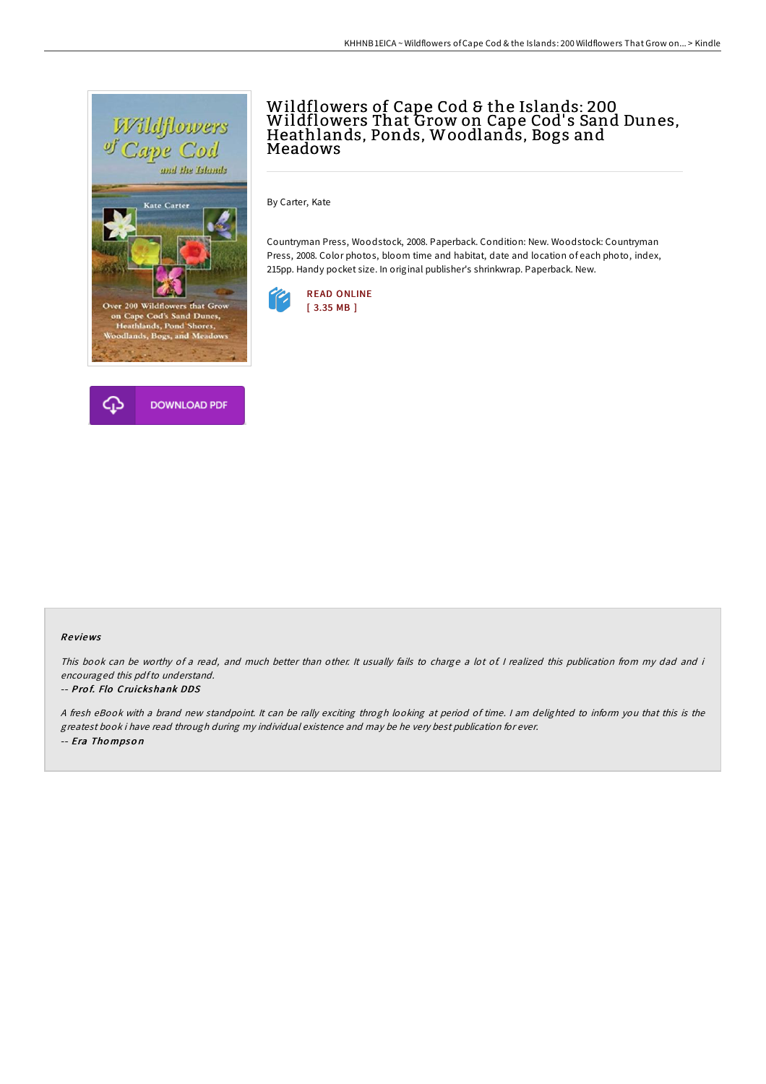



# Wildflowers of Cape Cod & the Islands: 200 Wildflowers That Grow on Cape Cod's Sand Dunes,<br>Heathlands, Ponds, Woodlands, Bogs and Meadows

By Carter, Kate

Countryman Press, Woodstock, 2008. Paperback. Condition: New. Woodstock: Countryman Press, 2008. Color photos, bloom time and habitat, date and location of each photo, index, 215pp. Handy pocket size. In original publisher's shrinkwrap. Paperback. New.



#### Re views

This book can be worthy of a read, and much better than other. It usually fails to charge a lot of I realized this publication from my dad and i encouraged this pdfto understand.

#### -- Prof. Flo Cruickshank DDS

<sup>A</sup> fresh eBook with <sup>a</sup> brand new standpoint. It can be rally exciting throgh looking at period of time. <sup>I</sup> am delighted to inform you that this is the greatest book i have read through during my individual existence and may be he very best publication for ever. -- Era Tho mpso <sup>n</sup>